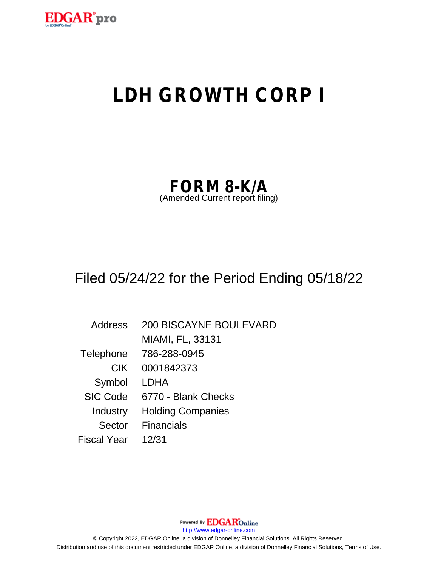

# **LDH GROWTH CORP I**

| <b>FORM 8-K/A</b>               |  |
|---------------------------------|--|
| (Amended Current report filing) |  |

## Filed 05/24/22 for the Period Ending 05/18/22

Address 200 BISCAYNE BOULEVARD MIAMI, FL, 33131 Telephone 786-288-0945 CIK 0001842373 Symbol LDHA SIC Code 6770 - Blank Checks Industry Holding Companies Sector Financials Fiscal Year 12/31

Powered By **EDGAR**Online http://www.edgar-online.com © Copyright 2022, EDGAR Online, a division of Donnelley Financial Solutions. All Rights Reserved. Distribution and use of this document restricted under EDGAR Online, a division of Donnelley Financial Solutions, Terms of Use.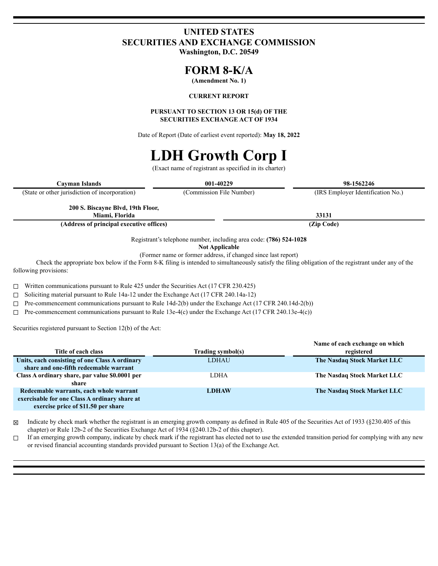### **UNITED STATES SECURITIES AND EXCHANGE COMMISSION**

Washington, D.C. 20549

### **FORM 8-K/A**

(Amendment No. 1)

#### **CURRENT REPORT**

#### PURSUANT TO SECTION 13 OR 15(d) OF THE **SECURITIES EXCHANGE ACT OF 1934**

Date of Report (Date of earliest event reported): May 18, 2022

# **LDH Growth Corp I**

(Exact name of registrant as specified in its charter)

| Cayman Islands                                 | 001-40229                                                          | 98-1562246                        |
|------------------------------------------------|--------------------------------------------------------------------|-----------------------------------|
| (State or other jurisdiction of incorporation) | (Commission File Number)                                           | (IRS Employer Identification No.) |
| 200 S. Biscayne Blvd, 19th Floor,              |                                                                    |                                   |
| Miami, Florida                                 |                                                                    | 33131                             |
| (Address of principal executive offices)       |                                                                    | (Zip Code)                        |
|                                                | Registrant's telephone number, including area code: (786) 524-1028 |                                   |

**Not Applicable** 

(Former name or former address, if changed since last report)

Check the appropriate box below if the Form 8-K filing is intended to simultaneously satisfy the filing obligation of the registrant under any of the following provisions:

 $\Box$ Written communications pursuant to Rule 425 under the Securities Act (17 CFR 230.425)

Soliciting material pursuant to Rule 14a-12 under the Exchange Act (17 CFR 240.14a-12)  $\Box$ 

Pre-commencement communications pursuant to Rule 14d-2(b) under the Exchange Act (17 CFR 240.14d-2(b))  $\Box$ 

Pre-commencement communications pursuant to Rule 13e-4(c) under the Exchange Act (17 CFR 240.13e-4(c)) П

Securities registered pursuant to Section 12(b) of the Act:

| Title of each class                            | Trading symbol(s) | Name of each exchange on which<br>registered |
|------------------------------------------------|-------------------|----------------------------------------------|
| Units, each consisting of one Class A ordinary | LDHAU             | The Nasdaq Stock Market LLC                  |
| share and one-fifth redeemable warrant         |                   |                                              |
| Class A ordinary share, par value \$0.0001 per | <b>LDHA</b>       | The Nasdaq Stock Market LLC                  |
| share                                          |                   |                                              |
| Redeemable warrants, each whole warrant        | <b>LDHAW</b>      | The Nasdaq Stock Market LLC                  |
| exercisable for one Class A ordinary share at  |                   |                                              |
| exercise price of \$11.50 per share            |                   |                                              |

Indicate by check mark whether the registrant is an emerging growth company as defined in Rule 405 of the Securities Act of 1933 (§230.405 of this 冈 chapter) or Rule 12b-2 of the Securities Exchange Act of 1934 (§240.12b-2 of this chapter).

If an emerging growth company, indicate by check mark if the registrant has elected not to use the extended transition period for complying with any new  $\Box$ or revised financial accounting standards provided pursuant to Section  $13(a)$  of the Exchange Act.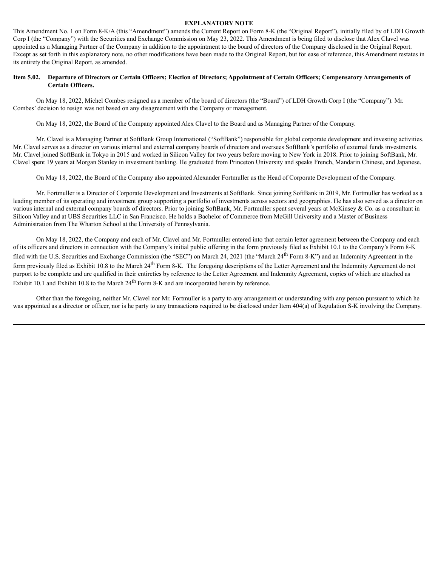#### **EXPLANATORY NOTE**

This Amendment No. 1 on Form 8-K/A (this "Amendment") amends the Current Report on Form 8-K (the "Original Report"), initially filed by of LDH Growth Corp I (the "Company") with the Securities and Exchange Commission on May 23, 2022. This Amendment is being filed to disclose that Alex Clavel was appointed as a Managing Partner of the Company in addition to the appointment to the board of directors of the Company disclosed in the Original Report. Except as set forth in this explanatory note, no other modifications have been made to the Original Report, but for ease of reference, this Amendment restates in its entirety the Original Report, as amended.

#### Item 5.02. Departure of Directors or Certain Officers; Election of Directors; Appointment of Certain Officers; Compensatory Arrangements of **Certain Officers.**

On May 18, 2022, Michel Combes resigned as a member of the board of directors (the "Board") of LDH Growth Corp I (the "Company"). Mr. Combes' decision to resign was not based on any disagreement with the Company or management.

On May 18, 2022, the Board of the Company appointed Alex Clavel to the Board and as Managing Partner of the Company.

Mr. Clavel is a Managing Partner at SoftBank Group International ("SoftBank") responsible for global corporate development and investing activities. Mr. Clavel serves as a director on various internal and external company boards of directors and oversees SoftBank's portfolio of external funds investments. Mr. Clavel joined SoftBank in Tokyo in 2015 and worked in Silicon Valley for two years before moving to New York in 2018. Prior to joining SoftBank, Mr. Clavel spent 19 years at Morgan Stanley in investment banking. He graduated from Princeton University and speaks French, Mandarin Chinese, and Japanese.

On May 18, 2022, the Board of the Company also appointed Alexander Fortmuller as the Head of Corporate Development of the Company.

Mr. Fortmuller is a Director of Corporate Development and Investments at SoftBank. Since joining SoftBank in 2019, Mr. Fortmuller has worked as a leading member of its operating and investment group supporting a portfolio of investments across sectors and geographies. He has also served as a director on various internal and external company boards of directors. Prior to joining SoftBank, Mr. Fortmuller spent several years at McKinsey & Co. as a consultant in Silicon Valley and at UBS Securities LLC in San Francisco. He holds a Bachelor of Commerce from McGill University and a Master of Business Administration from The Wharton School at the University of Pennsylvania.

On May 18, 2022, the Company and each of Mr. Clavel and Mr. Fortmuller entered into that certain letter agreement between the Company and each of its officers and directors in connection with the Company's initial public offering in the form previously filed as Exhibit 10.1 to the Company's Form 8-K filed with the U.S. Securities and Exchange Commission (the "SEC") on March 24, 2021 (the "March 24<sup>th</sup> Form 8-K") and an Indemnity Agreement in the form previously filed as Exhibit 10.8 to the March 24<sup>th</sup> Form 8-K. The foregoing descriptions of the Letter Agreement and the Indemnity Agreement do not purport to be complete and are qualified in their entireties by reference to the Letter Agreement and Indemnity Agreement, copies of which are attached as Exhibit 10.1 and Exhibit 10.8 to the March  $24<sup>th</sup>$  Form 8-K and are incorporated herein by reference.

Other than the foregoing, neither Mr. Clavel nor Mr. Fortmuller is a party to any arrangement or understanding with any person pursuant to which he was appointed as a director or officer, nor is he party to any transactions required to be disclosed under Item 404(a) of Regulation S-K involving the Company.